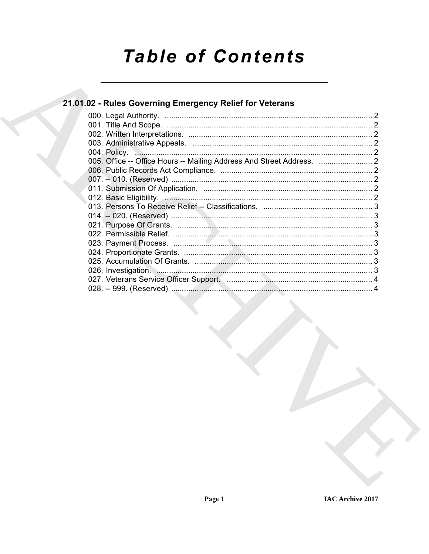# **Table of Contents**

## 21.01.02 - Rules Governing Emergency Relief for Veterans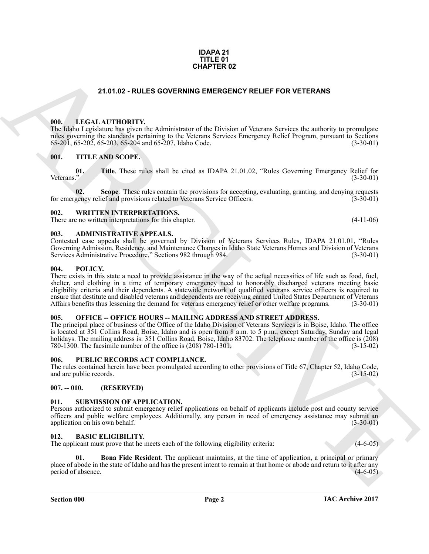#### **IDAPA 21 TITLE 01 CHAPTER 02**

#### **21.01.02 - RULES GOVERNING EMERGENCY RELIEF FOR VETERANS**

#### <span id="page-1-1"></span><span id="page-1-0"></span>**000. LEGAL AUTHORITY.**

The Idaho Legislature has given the Administrator of the Division of Veterans Services the authority to promulgate rules governing the standards pertaining to the Veterans Services Emergency Relief Program, pursuant to Sections 65-201, 65-202, 65-203, 65-204 and 65-207. Idaho Code. (3-30-01)  $65-201$ ,  $65-202$ ,  $65-203$ ,  $65-204$  and  $65-207$ , Idaho Code.

#### <span id="page-1-2"></span>**001. TITLE AND SCOPE.**

**01.** Title. These rules shall be cited as IDAPA 21.01.02, "Rules Governing Emergency Relief for Veterans." (3-30-01) Veterans." (3-30-01)

**02.** Scope. These rules contain the provisions for accepting, evaluating, granting, and denying requests gency relief and provisions related to Veterans Service Officers. (3-30-01) for emergency relief and provisions related to Veterans Service Officers.

#### <span id="page-1-3"></span>**002. WRITTEN INTERPRETATIONS.**

There are no written interpretations for this chapter. (4-11-06)

#### <span id="page-1-4"></span>**003. ADMINISTRATIVE APPEALS.**

Contested case appeals shall be governed by Division of Veterans Services Rules, IDAPA 21.01.01, "Rules Governing Admission, Residency, and Maintenance Charges in Idaho State Veterans Homes and Division of Veterans Services Administrative Procedure," Sections 982 through 984. (3-30-01)

#### <span id="page-1-5"></span>**004. POLICY.**

**21.01.02 - RULES GOVERNING EMERCIEVE FOR VETERANS<br>
19. ALEXANTIDONTY the Administrative of the Division of Veteran Services the materials to promption<br>
19. ALEXANTIDONTY the Administrative of the Schistics of Veteran Ser** There exists in this state a need to provide assistance in the way of the actual necessities of life such as food, fuel, shelter, and clothing in a time of temporary emergency need to honorably discharged veterans meeting basic eligibility criteria and their dependents. A statewide network of qualified veterans service officers is required to ensure that destitute and disabled veterans and dependents are receiving earned United States Department of Veterans Affairs benefits thus lessening the demand for veterans emergency relief or other welfare programs. (3-30-01)

#### <span id="page-1-6"></span>**005. OFFICE -- OFFICE HOURS -- MAILING ADDRESS AND STREET ADDRESS.**

The principal place of business of the Office of the Idaho Division of Veterans Services is in Boise, Idaho. The office is located at 351 Collins Road, Boise, Idaho and is open from 8 a.m. to 5 p.m., except Saturday, Sunday and legal holidays. The mailing address is: 351 Collins Road, Boise, Idaho 83702. The telephone number of the office is (208) 780-1300. The facsimile number of the office is (208) 780-1301. (3-15-02)

#### <span id="page-1-7"></span>**006. PUBLIC RECORDS ACT COMPLIANCE.**

The rules contained herein have been promulgated according to other provisions of Title 67, Chapter 52, Idaho Code, and are public records. (3-15-02) and are public records.

#### <span id="page-1-8"></span>**007. -- 010. (RESERVED)**

#### <span id="page-1-13"></span><span id="page-1-9"></span>**011. SUBMISSION OF APPLICATION.**

Persons authorized to submit emergency relief applications on behalf of applicants include post and county service officers and public welfare employees. Additionally, any person in need of emergency assistance may submit an application on his own behalf. (3-30-01) application on his own behalf.

#### <span id="page-1-11"></span><span id="page-1-10"></span>**012. BASIC ELIGIBILITY.**

The applicant must prove that he meets each of the following eligibility criteria:  $(4-6-05)$ 

<span id="page-1-12"></span>**Bona Fide Resident**. The applicant maintains, at the time of application, a principal or primary place of abode in the state of Idaho and has the present intent to remain at that home or abode and return to it after any period of absence. period of absence.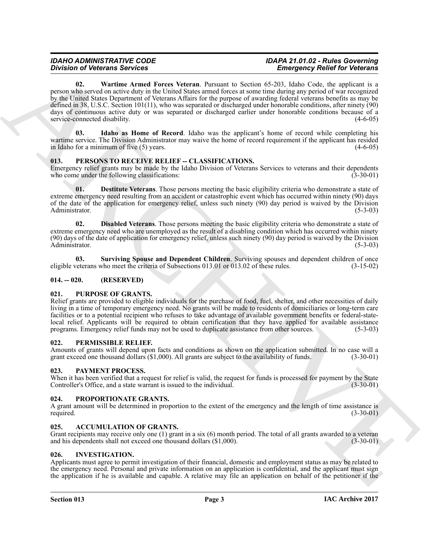#### <span id="page-2-10"></span>*IDAHO ADMINISTRATIVE CODE IDAPA 21.01.02 - Rules Governing Emergency Relief for Veterans*

Division of Determinism and Party Network Architects. The Content of Content of Content of Content of Content of Content of Content of Content of Content of Content of Content of Content of Content of Content of Content o **02. Wartime Armed Forces Veteran**. Pursuant to Section 65-203, Idaho Code, the applicant is a person who served on active duty in the United States armed forces at some time during any period of war recognized by the United States Department of Veterans Affairs for the purpose of awarding federal veterans benefits as may be defined in 38, U.S.C. Section 101(11), who was separated or discharged under honorable conditions, after ninety (90) days of continuous active duty or was separated or discharged earlier under honorable conditions because of a service-connected disability. (4-6-05)

<span id="page-2-9"></span>**03. Idaho as Home of Record**. Idaho was the applicant's home of record while completing his wartime service. The Division Administrator may waive the home of record requirement if the applicant has resided in Idaho for a minimum of five (5) years. (4-6-05)

#### <span id="page-2-14"></span><span id="page-2-0"></span>**013. PERSONS TO RECEIVE RELIEF -- CLASSIFICATIONS.**

Emergency relief grants may be made by the Idaho Division of Veterans Services to veterans and their dependents who come under the following classifications: (3-30-01) who come under the following classifications:

<span id="page-2-15"></span>**01. Destitute Veterans**. Those persons meeting the basic eligibility criteria who demonstrate a state of extreme emergency need resulting from an accident or catastrophic event which has occurred within ninety (90) days of the date of the application for emergency relief, unless such ninety (90) day period is waived by the Division Administrator. (5-3-03)

<span id="page-2-16"></span>**02. Disabled Veterans**. Those persons meeting the basic eligibility criteria who demonstrate a state of extreme emergency need who are unemployed as the result of a disabling condition which has occurred within ninety (90) days of the date of application for emergency relief, unless such ninety (90) day period is waived by the Division Administrator. (5-3-03)

<span id="page-2-17"></span>**03.** Surviving Spouse and Dependent Children. Surviving spouses and dependent children of once veterans who meet the criteria of Subsections 013.01 or 013.02 of these rules. (3-15-02) eligible veterans who meet the criteria of Subsections 013.01 or 013.02 of these rules.

#### <span id="page-2-1"></span>**014. -- 020. (RESERVED)**

#### <span id="page-2-19"></span><span id="page-2-2"></span>**021. PURPOSE OF GRANTS.**

Relief grants are provided to eligible individuals for the purchase of food, fuel, shelter, and other necessities of daily living in a time of temporary emergency need. No grants will be made to residents of domiciliaries or long-term care facilities or to a potential recipient who refuses to take advantage of available government benefits or federal-statelocal relief. Applicants will be required to obtain certification that they have applied for available assistance programs. Emergency relief funds may not be used to duplicate assistance from other sources. (5-3-03) programs. Emergency relief funds may not be used to duplicate assistance from other sources.

#### <span id="page-2-13"></span><span id="page-2-3"></span>**022. PERMISSIBLE RELIEF.**

Amounts of grants will depend upon facts and conditions as shown on the application submitted. In no case will a grant exceed one thousand dollars (\$1,000). All grants are subject to the availability of funds. (3-30-01) grant exceed one thousand dollars  $(\$1,000)$ . All grants are subject to the availability of funds.

#### <span id="page-2-12"></span><span id="page-2-4"></span>**023. PAYMENT PROCESS.**

When it has been verified that a request for relief is valid, the request for funds is processed for payment by the State Controller's Office, and a state warrant is issued to the individual. (3-30-01) Controller's Office, and a state warrant is issued to the individual.

#### <span id="page-2-18"></span><span id="page-2-5"></span>**024. PROPORTIONATE GRANTS.**

A grant amount will be determined in proportion to the extent of the emergency and the length of time assistance is required.  $(3-30-01)$ 

#### <span id="page-2-8"></span><span id="page-2-6"></span>**025. ACCUMULATION OF GRANTS.**

Grant recipients may receive only one (1) grant in a six (6) month period. The total of all grants awarded to a veteran and his dependents shall not exceed one thousand dollars (\$1,000). (3-30-01)

#### <span id="page-2-11"></span><span id="page-2-7"></span>**026. INVESTIGATION.**

Applicants must agree to permit investigation of their financial, domestic and employment status as may be related to the emergency need. Personal and private information on an application is confidential, and the applicant must sign the application if he is available and capable. A relative may file an application on behalf of the petitioner if the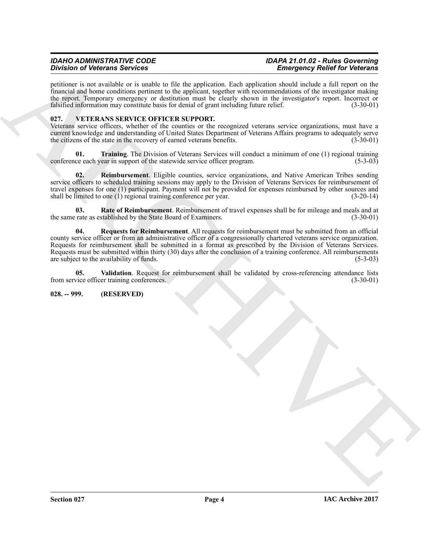#### *IDAHO ADMINISTRATIVE CODE IDAPA 21.01.02 - Rules Governing Emergency Relief for Veterans*

petitioner is not available or is unable to file the application. Each application should include a full report on the financial and home conditions pertinent to the applicant, together with recommendations of the investigator making the report. Temporary emergency or destitution must be clearly shown in the investigator's report. Incorrect or falsified information may constitute basis for denial of grant including future relief. (3-30-01)

#### <span id="page-3-2"></span><span id="page-3-0"></span>**027. VETERANS SERVICE OFFICER SUPPORT.**

Veterans service officers, whether of the counties or the recognized veterans service organizations, must have a current knowledge and understanding of United States Department of Veterans Affairs programs to adequately serve the citizens of the state in the recovery of earned veterans benefits. (3-30-01)

<span id="page-3-6"></span>**01. Training**. The Division of Veterans Services will conduct a minimum of one (1) regional training ce each year in support of the statewide service officer program. (5-3-03) conference each year in support of the statewide service officer program.

<span id="page-3-4"></span>**02. Reimbursement**. Eligible counties, service organizations, and Native American Tribes sending service officers to scheduled training sessions may apply to the Division of Veterans Services for reimbursement of travel expenses for one (1) participant. Payment will not be provided for expenses reimbursed by other sources and shall be limited to one (1) regional training conference per year. (3-20-14) shall be limited to one  $(1)$  regional training conference per year.

<span id="page-3-5"></span><span id="page-3-3"></span>**03.** Rate of Reimbursement. Reimbursement of travel expenses shall be for mileage and meals and at rate as established by the State Board of Examiners. (3-30-01) the same rate as established by the State Board of Examiners.

Division of Victorian Services in the six basis in the system of the system of the system of the system of the system of the system of the system of the system of the system of the system of the system of the system of th **04. Requests for Reimbursement**. All requests for reimbursement must be submitted from an official county service officer or from an administrative officer of a congressionally chartered veterans service organization. Requests for reimbursement shall be submitted in a format as prescribed by the Division of Veterans Services. Requests must be submitted within thirty (30) days after the conclusion of a training conference. All reimbursements are subject to the availability of funds. (5-3-03) are subject to the availability of funds.

<span id="page-3-7"></span>**05.** Validation. Request for reimbursement shall be validated by cross-referencing attendance lists vice officer training conferences. (3-30-01) from service officer training conferences.

#### <span id="page-3-1"></span>**028. -- 999. (RESERVED)**